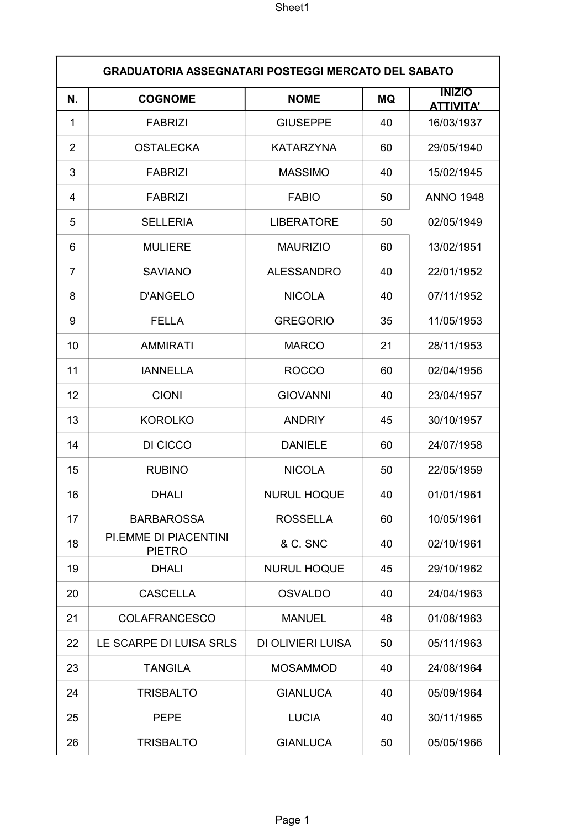|                | <b>GRADUATORIA ASSEGNATARI POSTEGGI MERCATO DEL SABATO</b> |                    |           |                                   |  |
|----------------|------------------------------------------------------------|--------------------|-----------|-----------------------------------|--|
| N.             | <b>COGNOME</b>                                             | <b>NOME</b>        | <b>MQ</b> | <b>INIZIO</b><br><b>ATTIVITA'</b> |  |
| 1              | <b>FABRIZI</b>                                             | <b>GIUSEPPE</b>    | 40        | 16/03/1937                        |  |
| $\overline{2}$ | <b>OSTALECKA</b>                                           | <b>KATARZYNA</b>   | 60        | 29/05/1940                        |  |
| 3              | <b>FABRIZI</b>                                             | <b>MASSIMO</b>     | 40        | 15/02/1945                        |  |
| 4              | <b>FABRIZI</b>                                             | <b>FABIO</b>       | 50        | <b>ANNO 1948</b>                  |  |
| 5              | <b>SELLERIA</b>                                            | <b>LIBERATORE</b>  | 50        | 02/05/1949                        |  |
| 6              | <b>MULIERE</b>                                             | <b>MAURIZIO</b>    | 60        | 13/02/1951                        |  |
| 7              | <b>SAVIANO</b>                                             | <b>ALESSANDRO</b>  | 40        | 22/01/1952                        |  |
| 8              | <b>D'ANGELO</b>                                            | <b>NICOLA</b>      | 40        | 07/11/1952                        |  |
| 9              | <b>FELLA</b>                                               | <b>GREGORIO</b>    | 35        | 11/05/1953                        |  |
| 10             | <b>AMMIRATI</b>                                            | <b>MARCO</b>       | 21        | 28/11/1953                        |  |
| 11             | <b>IANNELLA</b>                                            | <b>ROCCO</b>       | 60        | 02/04/1956                        |  |
| 12             | <b>CIONI</b>                                               | <b>GIOVANNI</b>    | 40        | 23/04/1957                        |  |
| 13             | <b>KOROLKO</b>                                             | <b>ANDRIY</b>      | 45        | 30/10/1957                        |  |
| 14             | DI CICCO                                                   | <b>DANIELE</b>     | 60        | 24/07/1958                        |  |
| 15             | <b>RUBINO</b>                                              | <b>NICOLA</b>      | 50        | 22/05/1959                        |  |
| 16             | <b>DHALI</b>                                               | <b>NURUL HOQUE</b> | 40        | 01/01/1961                        |  |
| 17             | <b>BARBAROSSA</b>                                          | <b>ROSSELLA</b>    | 60        | 10/05/1961                        |  |
| 18             | PI.EMME DI PIACENTINI<br><b>PIETRO</b>                     | & C. SNC           | 40        | 02/10/1961                        |  |
| 19             | <b>DHALI</b>                                               | <b>NURUL HOQUE</b> | 45        | 29/10/1962                        |  |
| 20             | <b>CASCELLA</b>                                            | <b>OSVALDO</b>     | 40        | 24/04/1963                        |  |
| 21             | <b>COLAFRANCESCO</b>                                       | <b>MANUEL</b>      | 48        | 01/08/1963                        |  |
| 22             | LE SCARPE DI LUISA SRLS                                    | DI OLIVIERI LUISA  | 50        | 05/11/1963                        |  |
| 23             | <b>TANGILA</b>                                             | <b>MOSAMMOD</b>    | 40        | 24/08/1964                        |  |
| 24             | <b>TRISBALTO</b>                                           | <b>GIANLUCA</b>    | 40        | 05/09/1964                        |  |
| 25             | <b>PEPE</b>                                                | <b>LUCIA</b>       | 40        | 30/11/1965                        |  |
| 26             | <b>TRISBALTO</b>                                           | <b>GIANLUCA</b>    | 50        | 05/05/1966                        |  |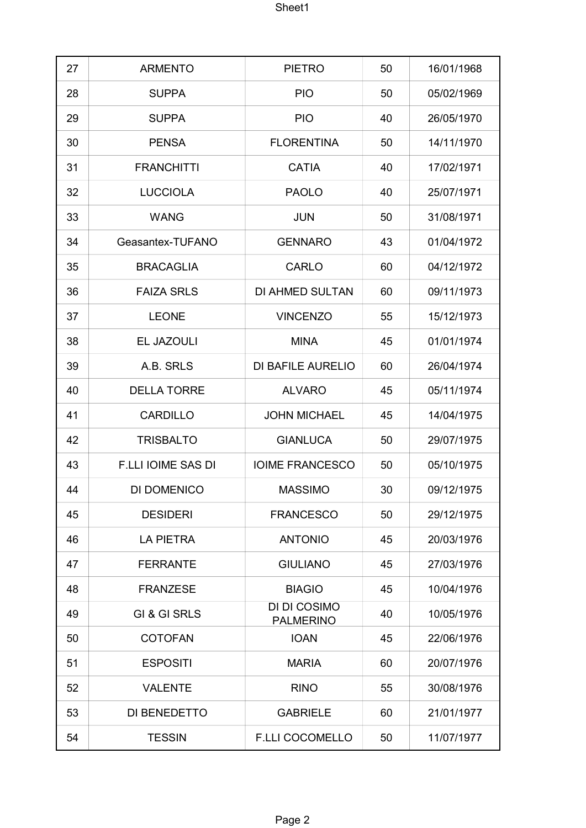| 27 | <b>ARMENTO</b>            | <b>PIETRO</b>                    | 50 | 16/01/1968 |
|----|---------------------------|----------------------------------|----|------------|
| 28 | <b>SUPPA</b>              | <b>PIO</b>                       | 50 | 05/02/1969 |
| 29 | <b>SUPPA</b>              | <b>PIO</b>                       | 40 | 26/05/1970 |
| 30 | <b>PENSA</b>              | <b>FLORENTINA</b>                | 50 | 14/11/1970 |
| 31 | <b>FRANCHITTI</b>         | <b>CATIA</b>                     | 40 | 17/02/1971 |
| 32 | <b>LUCCIOLA</b>           | <b>PAOLO</b>                     | 40 | 25/07/1971 |
| 33 | <b>WANG</b>               | <b>JUN</b>                       | 50 | 31/08/1971 |
| 34 | Geasantex-TUFANO          | <b>GENNARO</b>                   | 43 | 01/04/1972 |
| 35 | <b>BRACAGLIA</b>          | <b>CARLO</b>                     | 60 | 04/12/1972 |
| 36 | <b>FAIZA SRLS</b>         | <b>DI AHMED SULTAN</b>           | 60 | 09/11/1973 |
| 37 | <b>LEONE</b>              | <b>VINCENZO</b>                  | 55 | 15/12/1973 |
| 38 | EL JAZOULI                | <b>MINA</b>                      | 45 | 01/01/1974 |
| 39 | A.B. SRLS                 | DI BAFILE AURELIO                | 60 | 26/04/1974 |
| 40 | <b>DELLA TORRE</b>        | <b>ALVARO</b>                    | 45 | 05/11/1974 |
| 41 | <b>CARDILLO</b>           | <b>JOHN MICHAEL</b>              | 45 | 14/04/1975 |
| 42 | <b>TRISBALTO</b>          | <b>GIANLUCA</b>                  | 50 | 29/07/1975 |
| 43 | <b>F.LLI IOIME SAS DI</b> | <b>IOIME FRANCESCO</b>           | 50 | 05/10/1975 |
| 44 | DI DOMENICO               | <b>MASSIMO</b>                   | 30 | 09/12/1975 |
| 45 | <b>DESIDERI</b>           | <b>FRANCESCO</b>                 | 50 | 29/12/1975 |
| 46 | <b>LA PIETRA</b>          | <b>ANTONIO</b>                   | 45 | 20/03/1976 |
| 47 | <b>FERRANTE</b>           | <b>GIULIANO</b>                  | 45 | 27/03/1976 |
| 48 | <b>FRANZESE</b>           | <b>BIAGIO</b>                    | 45 | 10/04/1976 |
| 49 | GI & GI SRLS              | DI DI COSIMO<br><b>PALMERINO</b> | 40 | 10/05/1976 |
| 50 | <b>COTOFAN</b>            | <b>IOAN</b>                      | 45 | 22/06/1976 |
| 51 | <b>ESPOSITI</b>           | <b>MARIA</b>                     | 60 | 20/07/1976 |
| 52 | <b>VALENTE</b>            | <b>RINO</b>                      | 55 | 30/08/1976 |
| 53 | DI BENEDETTO              | <b>GABRIELE</b>                  | 60 | 21/01/1977 |
| 54 | <b>TESSIN</b>             | <b>F.LLI COCOMELLO</b>           | 50 | 11/07/1977 |
|    |                           |                                  |    |            |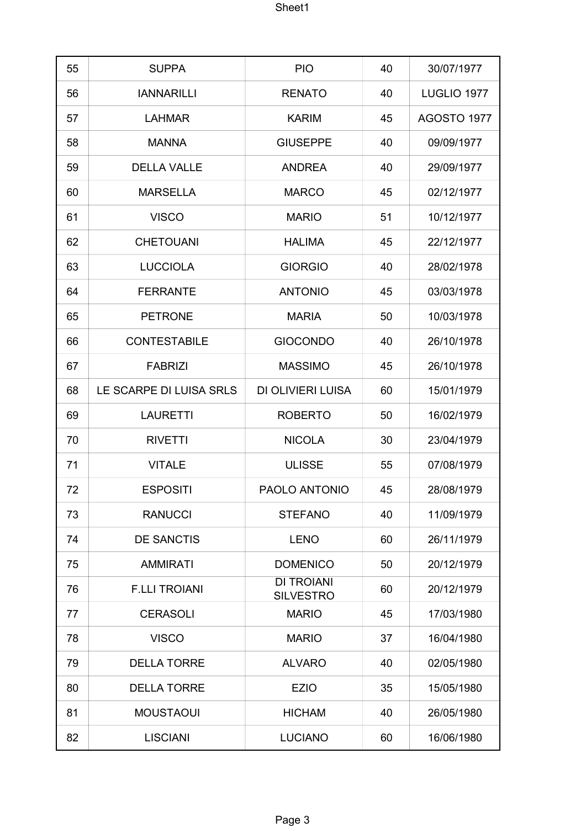| 55 | <b>SUPPA</b>            | <b>PIO</b>                            | 40 | 30/07/1977  |
|----|-------------------------|---------------------------------------|----|-------------|
| 56 | <b>IANNARILLI</b>       | <b>RENATO</b>                         | 40 | LUGLIO 1977 |
| 57 | <b>LAHMAR</b>           | <b>KARIM</b>                          | 45 | AGOSTO 1977 |
| 58 | <b>MANNA</b>            | <b>GIUSEPPE</b>                       | 40 | 09/09/1977  |
| 59 | <b>DELLA VALLE</b>      | <b>ANDREA</b>                         | 40 | 29/09/1977  |
| 60 | <b>MARSELLA</b>         | <b>MARCO</b>                          | 45 | 02/12/1977  |
| 61 | <b>VISCO</b>            | <b>MARIO</b>                          | 51 | 10/12/1977  |
| 62 | <b>CHETOUANI</b>        | <b>HALIMA</b>                         | 45 | 22/12/1977  |
| 63 | <b>LUCCIOLA</b>         | <b>GIORGIO</b>                        | 40 | 28/02/1978  |
| 64 | <b>FERRANTE</b>         | <b>ANTONIO</b>                        | 45 | 03/03/1978  |
| 65 | <b>PETRONE</b>          | <b>MARIA</b>                          | 50 | 10/03/1978  |
| 66 | <b>CONTESTABILE</b>     | <b>GIOCONDO</b>                       | 40 | 26/10/1978  |
| 67 | <b>FABRIZI</b>          | <b>MASSIMO</b>                        | 45 | 26/10/1978  |
| 68 | LE SCARPE DI LUISA SRLS | DI OLIVIERI LUISA                     | 60 | 15/01/1979  |
| 69 | <b>LAURETTI</b>         | <b>ROBERTO</b>                        | 50 | 16/02/1979  |
| 70 | <b>RIVETTI</b>          | <b>NICOLA</b>                         | 30 | 23/04/1979  |
| 71 | <b>VITALE</b>           | <b>ULISSE</b>                         | 55 | 07/08/1979  |
| 72 | <b>ESPOSITI</b>         | PAOLO ANTONIO                         | 45 | 28/08/1979  |
| 73 | <b>RANUCCI</b>          | <b>STEFANO</b>                        | 40 | 11/09/1979  |
| 74 | <b>DE SANCTIS</b>       | <b>LENO</b>                           | 60 | 26/11/1979  |
| 75 | <b>AMMIRATI</b>         | <b>DOMENICO</b>                       | 50 | 20/12/1979  |
| 76 | <b>F.LLI TROIANI</b>    | <b>DI TROIANI</b><br><b>SILVESTRO</b> | 60 | 20/12/1979  |
| 77 | <b>CERASOLI</b>         | <b>MARIO</b>                          | 45 | 17/03/1980  |
| 78 | <b>VISCO</b>            | <b>MARIO</b>                          | 37 | 16/04/1980  |
| 79 | <b>DELLA TORRE</b>      | <b>ALVARO</b>                         | 40 | 02/05/1980  |
| 80 | <b>DELLA TORRE</b>      | <b>EZIO</b>                           | 35 | 15/05/1980  |
| 81 | <b>MOUSTAOUI</b>        | <b>HICHAM</b>                         | 40 | 26/05/1980  |
| 82 | <b>LISCIANI</b>         | <b>LUCIANO</b>                        | 60 | 16/06/1980  |
|    |                         |                                       |    |             |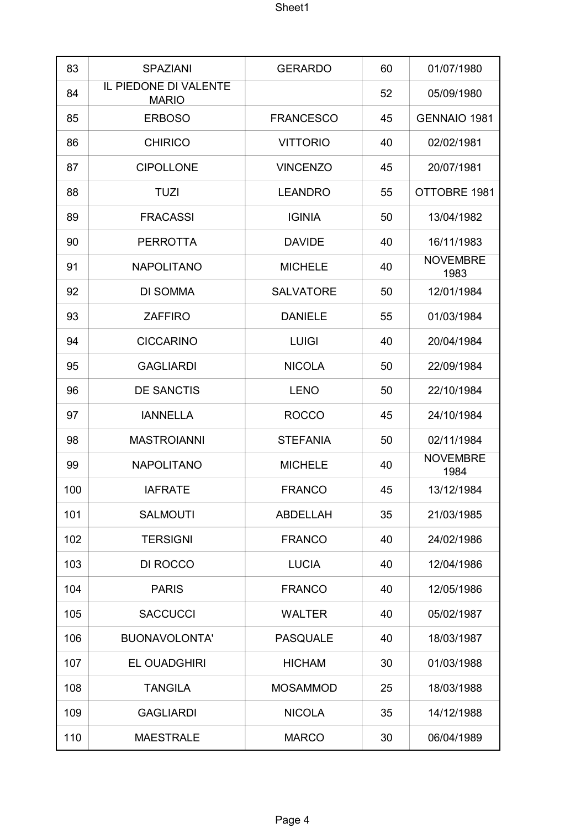| 83  | <b>SPAZIANI</b>                       | <b>GERARDO</b>   | 60 | 01/07/1980              |
|-----|---------------------------------------|------------------|----|-------------------------|
| 84  | IL PIEDONE DI VALENTE<br><b>MARIO</b> |                  | 52 | 05/09/1980              |
| 85  | <b>ERBOSO</b>                         | <b>FRANCESCO</b> | 45 | <b>GENNAIO 1981</b>     |
| 86  | <b>CHIRICO</b>                        | <b>VITTORIO</b>  | 40 | 02/02/1981              |
| 87  | <b>CIPOLLONE</b>                      | <b>VINCENZO</b>  | 45 | 20/07/1981              |
| 88  | <b>TUZI</b>                           | <b>LEANDRO</b>   | 55 | OTTOBRE 1981            |
| 89  | <b>FRACASSI</b>                       | <b>IGINIA</b>    | 50 | 13/04/1982              |
| 90  | <b>PERROTTA</b>                       | <b>DAVIDE</b>    | 40 | 16/11/1983              |
| 91  | <b>NAPOLITANO</b>                     | <b>MICHELE</b>   | 40 | <b>NOVEMBRE</b><br>1983 |
| 92  | DI SOMMA                              | <b>SALVATORE</b> | 50 | 12/01/1984              |
| 93  | <b>ZAFFIRO</b>                        | <b>DANIELE</b>   | 55 | 01/03/1984              |
| 94  | <b>CICCARINO</b>                      | <b>LUIGI</b>     | 40 | 20/04/1984              |
| 95  | <b>GAGLIARDI</b>                      | <b>NICOLA</b>    | 50 | 22/09/1984              |
| 96  | <b>DE SANCTIS</b>                     | <b>LENO</b>      | 50 | 22/10/1984              |
| 97  | <b>IANNELLA</b>                       | <b>ROCCO</b>     | 45 | 24/10/1984              |
| 98  | <b>MASTROIANNI</b>                    | <b>STEFANIA</b>  | 50 | 02/11/1984              |
| 99  | <b>NAPOLITANO</b>                     | <b>MICHELE</b>   | 40 | <b>NOVEMBRE</b><br>1984 |
| 100 | <b>IAFRATE</b>                        | <b>FRANCO</b>    | 45 | 13/12/1984              |
| 101 | <b>SALMOUTI</b>                       | <b>ABDELLAH</b>  | 35 | 21/03/1985              |
| 102 | <b>TERSIGNI</b>                       | <b>FRANCO</b>    | 40 | 24/02/1986              |
| 103 | DI ROCCO                              | <b>LUCIA</b>     | 40 | 12/04/1986              |
| 104 | <b>PARIS</b>                          | <b>FRANCO</b>    | 40 | 12/05/1986              |
| 105 | <b>SACCUCCI</b>                       | <b>WALTER</b>    | 40 | 05/02/1987              |
| 106 | <b>BUONAVOLONTA'</b>                  | <b>PASQUALE</b>  | 40 | 18/03/1987              |
| 107 | <b>EL OUADGHIRI</b>                   | <b>HICHAM</b>    | 30 | 01/03/1988              |
| 108 | <b>TANGILA</b>                        | <b>MOSAMMOD</b>  | 25 | 18/03/1988              |
| 109 | <b>GAGLIARDI</b>                      | <b>NICOLA</b>    | 35 | 14/12/1988              |
| 110 | <b>MAESTRALE</b>                      | <b>MARCO</b>     | 30 | 06/04/1989              |